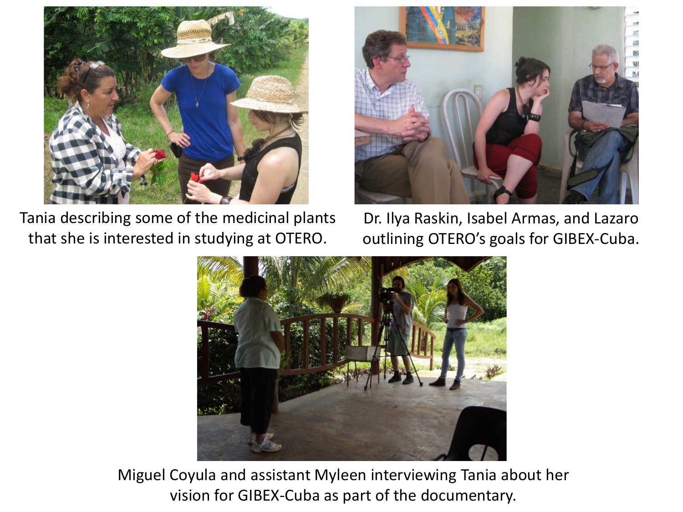

Tania describing some of the medicinal plants that she is interested in studying at OTERO.



Dr. Ilya Raskin, Isabel Armas, and Lazaro outlining OTERO's goals for GIBEX-Cuba.



Miguel Coyula and assistant Myleen interviewing Tania about her vision for GIBEX-Cuba as part of the documentary.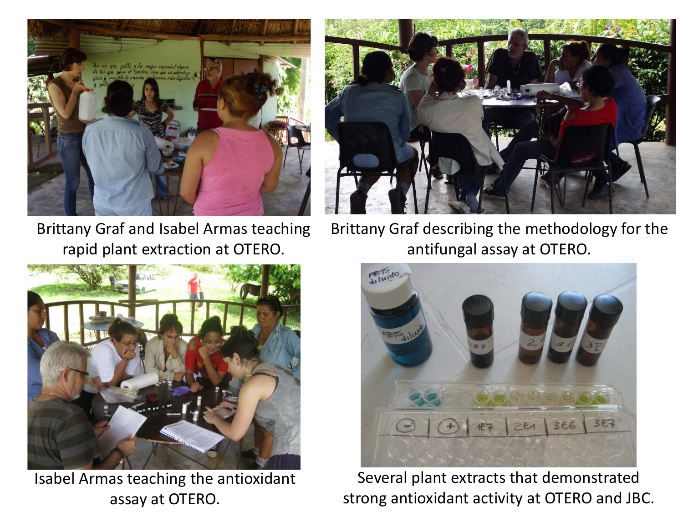

Brittany Graf and Isabel Armas teaching rapid plant extraction at OTERO.



Brittany Graf describing the methodology for the antifungal assay at OTERO.



Isabel Armas teaching the antioxidant assay at OTERO.



Several plant extracts that demonstrated strong antioxidant activity at OTERO and JBC.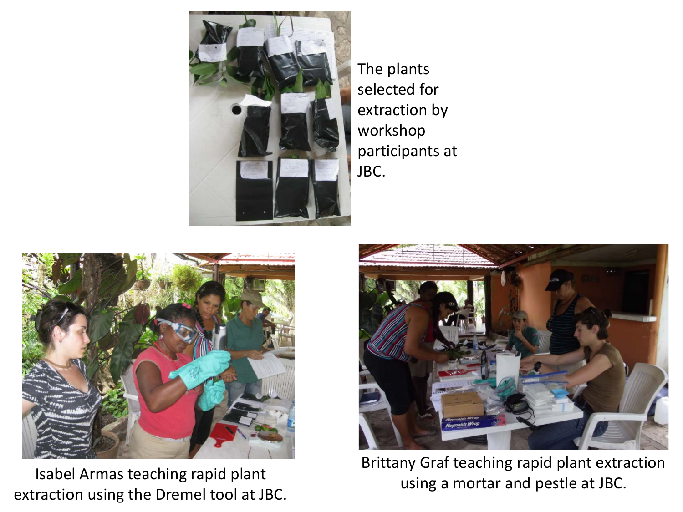

The plants selected for extraction by workshop participants at JBC.



Isabel Armas teaching rapid plant extraction using the Dremel tool at JBC.



Brittany Graf teaching rapid plant extraction using a mortar and pestle at JBC.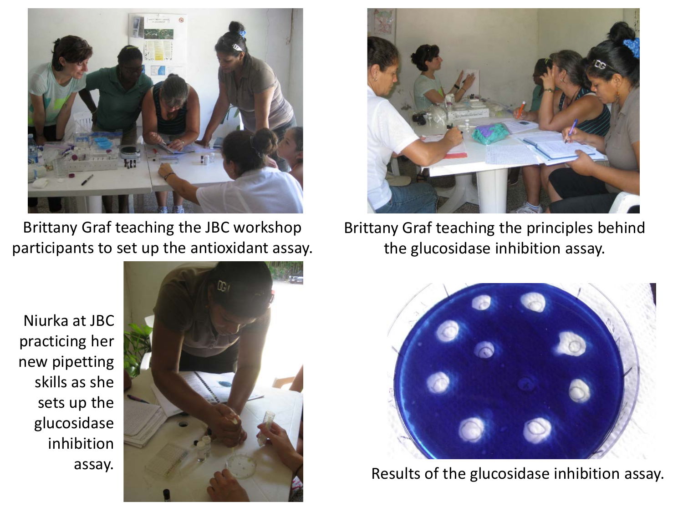

Brittany Graf teaching the JBC workshop participants to set up the antioxidant assay.

Niurka at JBC practicing her new pipetting skills as she sets up the glucosidase inhibition assay.





Brittany Graf teaching the principles behind the glucosidase inhibition assay.



Results of the glucosidase inhibition assay.